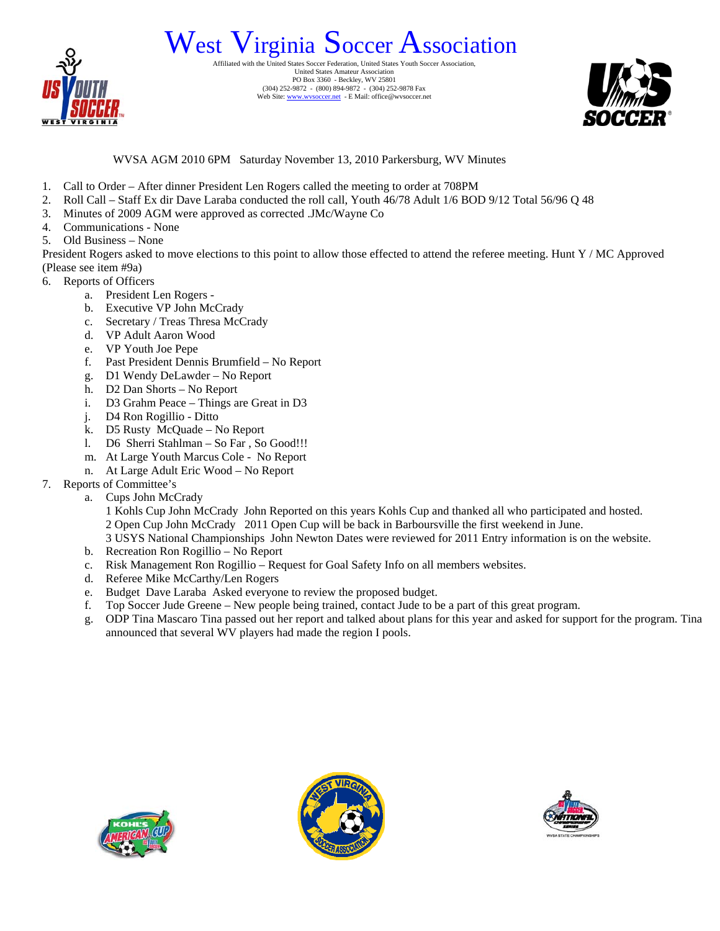

## West Virginia Soccer Federation, United States Soccer Association.

United States Amateur Association PO Box 3360 - Beckley, WV 25801 (304) 252-9872 - (800) 894-9872 - (304) 252-9878 Fax Web Site: www.wvsoccer.net - E Mail: office@wvsoccer.net



WVSA AGM 2010 6PM Saturday November 13, 2010 Parkersburg, WV Minutes

- 1. Call to Order After dinner President Len Rogers called the meeting to order at 708PM
- 2. Roll Call Staff Ex dir Dave Laraba conducted the roll call, Youth 46/78 Adult 1/6 BOD 9/12 Total 56/96 Q 48
- 3. Minutes of 2009 AGM were approved as corrected .JMc/Wayne Co
- 4. Communications None
- 5. Old Business None

President Rogers asked to move elections to this point to allow those effected to attend the referee meeting. Hunt Y / MC Approved (Please see item #9a)

- 6. Reports of Officers
	- a. President Len Rogers -
	- b. Executive VP John McCrady
	- c. Secretary / Treas Thresa McCrady
	- d. VP Adult Aaron Wood
	- e. VP Youth Joe Pepe
	- f. Past President Dennis Brumfield No Report
	- g. D1 Wendy DeLawder No Report
	- h. D2 Dan Shorts No Report
	- i. D3 Grahm Peace Things are Great in D3
	- j. D4 Ron Rogillio Ditto
	- k. D5 Rusty McQuade No Report
	- l. D6 Sherri Stahlman So Far , So Good!!!
	- m. At Large Youth Marcus Cole No Report
	- n. At Large Adult Eric Wood No Report
- 7. Reports of Committee's
	- a. Cups John McCrady
		- 1 Kohls Cup John McCrady John Reported on this years Kohls Cup and thanked all who participated and hosted. 2 Open Cup John McCrady 2011 Open Cup will be back in Barboursville the first weekend in June.
		- 3 USYS National Championships John Newton Dates were reviewed for 2011 Entry information is on the website.
	- b. Recreation Ron Rogillio No Report
	- c. Risk Management Ron Rogillio Request for Goal Safety Info on all members websites.
	- d. Referee Mike McCarthy/Len Rogers
	- e. Budget Dave Laraba Asked everyone to review the proposed budget.
	- f. Top Soccer Jude Greene New people being trained, contact Jude to be a part of this great program.
	- g. ODP Tina Mascaro Tina passed out her report and talked about plans for this year and asked for support for the program. Tina announced that several WV players had made the region I pools.





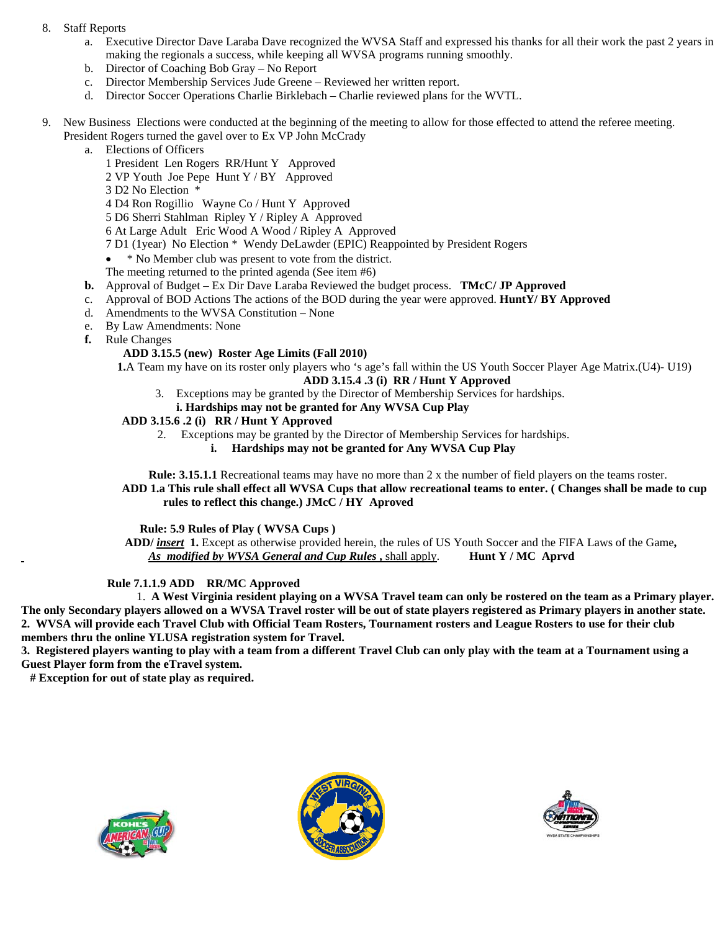- 8. Staff Reports
	- a. Executive Director Dave Laraba Dave recognized the WVSA Staff and expressed his thanks for all their work the past 2 years in making the regionals a success, while keeping all WVSA programs running smoothly.
	- b. Director of Coaching Bob Gray No Report
	- c. Director Membership Services Jude Greene Reviewed her written report.
	- d. Director Soccer Operations Charlie Birklebach Charlie reviewed plans for the WVTL.
- 9. New Business Elections were conducted at the beginning of the meeting to allow for those effected to attend the referee meeting. President Rogers turned the gavel over to Ex VP John McCrady
	- a. Elections of Officers
		- 1 President Len Rogers RR/Hunt Y Approved
		- 2 VP Youth Joe Pepe Hunt Y / BY Approved
		- 3 D2 No Election \*
		- 4 D4 Ron Rogillio Wayne Co / Hunt Y Approved
		- 5 D6 Sherri Stahlman Ripley Y / Ripley A Approved
		- 6 At Large Adult Eric Wood A Wood / Ripley A Approved
		- 7 D1 (1year) No Election \* Wendy DeLawder (EPIC) Reappointed by President Rogers
		- \* No Member club was present to vote from the district.
		- The meeting returned to the printed agenda (See item #6)
	- **b.** Approval of Budget Ex Dir Dave Laraba Reviewed the budget process. **TMcC/ JP Approved**
	- c. Approval of BOD Actions The actions of the BOD during the year were approved. **HuntY/ BY Approved**
	- d. Amendments to the WVSA Constitution None
	- e. By Law Amendments: None
	- **f.** Rule Changes

## **ADD 3.15.5 (new) Roster Age Limits (Fall 2010)**

 **1.**A Team my have on its roster only players who 's age's fall within the US Youth Soccer Player Age Matrix.(U4)- U19)

- **ADD 3.15.4 .3 (i) RR / Hunt Y Approved**
- 3. Exceptions may be granted by the Director of Membership Services for hardships.
- **i. Hardships may not be granted for Any WVSA Cup Play**

## **ADD 3.15.6 .2 (i) RR / Hunt Y Approved**

- 2. Exceptions may be granted by the Director of Membership Services for hardships.
	- **i. Hardships may not be granted for Any WVSA Cup Play**

 **Rule: 3.15.1.1** Recreational teams may have no more than 2 x the number of field players on the teams roster.  **ADD 1.a This rule shall effect all WVSA Cups that allow recreational teams to enter. ( Changes shall be made to cup rules to reflect this change.) JMcC / HY Aproved** 

 **Rule: 5.9 Rules of Play ( WVSA Cups )** 

 **ADD/** *insert* **1.** Except as otherwise provided herein, the rules of US Youth Soccer and the FIFA Laws of the Game**,**   *As modified by WVSA General and Cup Rules* **,** shall apply. **Hunt Y / MC Aprvd** 

## **Rule 7.1.1.9 ADD RR/MC Approved**

1. **A West Virginia resident playing on a WVSA Travel team can only be rostered on the team as a Primary player. The only Secondary players allowed on a WVSA Travel roster will be out of state players registered as Primary players in another state. 2. WVSA will provide each Travel Club with Official Team Rosters, Tournament rosters and League Rosters to use for their club members thru the online YLUSA registration system for Travel.** 

**3. Registered players wanting to play with a team from a different Travel Club can only play with the team at a Tournament using a Guest Player form from the eTravel system.** 

 **# Exception for out of state play as required.**